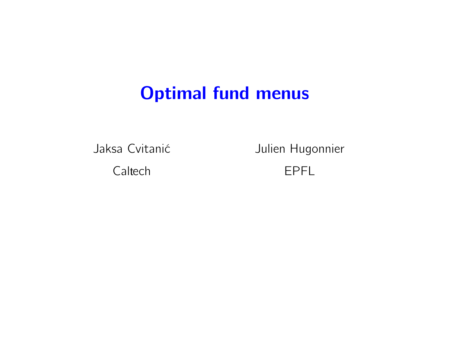# <span id="page-0-0"></span>Optimal fund menus

Jaksa Cvitanić

Caltech

Julien Hugonnier

EPFL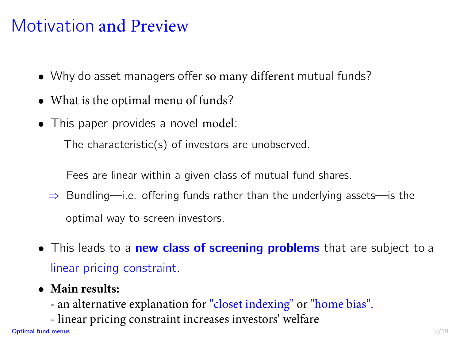# Motivation and Preview

- Why do asset managers offer so many different mutual funds?
- What is the optimal menu of funds?
- This paper provides a novel model:

The characteristic(s) of investors are unobserved.

Fees are linear within a given class of mutual fund shares.

- ⇒ Bundling—i.e. offering funds rather than the underlying assets—is the optimal way to screen investors.
- This leads to a new class of screening problems that are subject to a linear pricing constraint.
- **Main results:**
	- **-** an alternative explanation for "closet indexing" or "home bias".
	- linear pricing constraint increases investors' welfare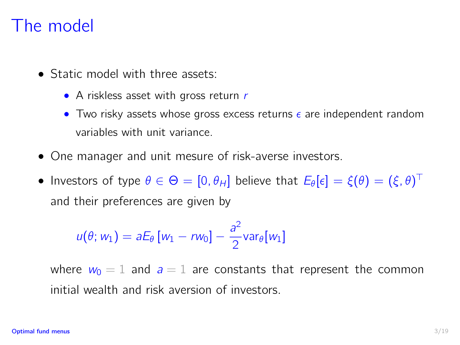#### The model

- Static model with three assets:
	- A riskless asset with gross return r
	- Two risky assets whose gross excess returns  $\epsilon$  are independent random variables with unit variance.
- One manager and unit mesure of risk-averse investors.
- Investors of type  $\theta \in \Theta = [0,\theta_H]$  believe that  $E_\theta[\epsilon] = \xi(\theta) = (\xi,\theta)^\top$ and their preferences are given by

$$
u(\theta; w_1) = aE_{\theta}[w_1 - rw_0] - \frac{a^2}{2} \text{var}_{\theta}[w_1]
$$

where  $w_0 = 1$  and  $a = 1$  are constants that represent the common initial wealth and risk aversion of investors.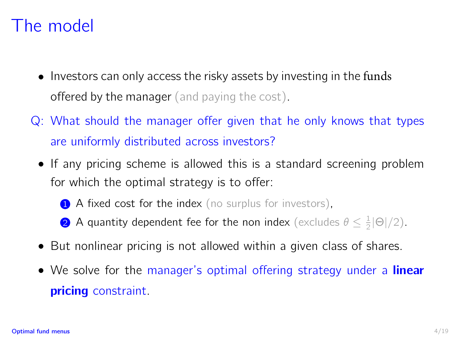# The model

- Investors can only access the risky assets by investing in the funds **offered by the manager** (and paying the cost).
- Q: What should the manager offer given that he only knows that types are uniformly distributed across investors?
	- If any pricing scheme is allowed this is a standard screening problem for which the optimal strategy is to offer:
		- 1 A fixed cost for the index (no surplus for investors),
		- **2** A quantity dependent fee for the non index (excludes  $\theta \leq \frac{1}{2}|\Theta|/2$ ).
	- But nonlinear pricing is not allowed within a given class of shares.
	- We solve for the manager's optimal offering strategy under a **linear** pricing constraint.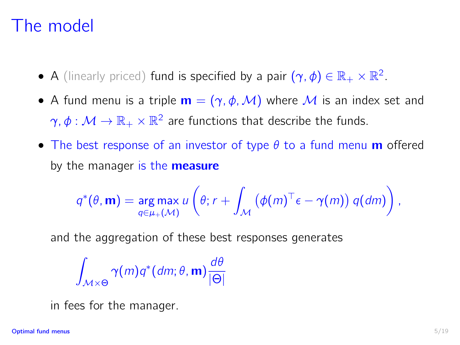# The model

- A (linearly priced) fund is specified by a pair  $(\gamma, \phi) \in \mathbb{R}_+ \times \mathbb{R}^2$ .
- A fund menu is a triple  $\mathbf{m} = (\gamma, \phi, \mathcal{M})$  where M is an index set and  $\gamma,\phi:\mathcal{M}\to\mathbb{R}_+\times\mathbb{R}^2$  are functions that describe the funds.
- The best response of an investor of type  $\theta$  to a fund menu **m** offered by the manager is the **measure**

$$
q^*(\theta, \mathbf{m}) = \underset{q \in \mu_+(\mathcal{M})}{\arg \max} u\left(\theta; r + \int_{\mathcal{M}} \left(\phi(m)^\top \epsilon - \gamma(m)\right) q(dm)\right),
$$

and the aggregation of these best responses generates

$$
\int_{\mathcal{M}\times\Theta}\gamma(m)q^*(dm;\theta,\mathbf{m})\frac{d\theta}{|\Theta|}
$$

in fees for the manager.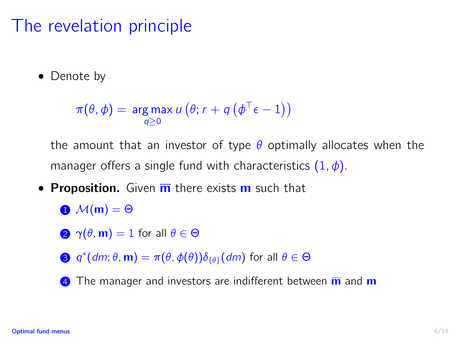# The revelation principle

• Denote by

```
\pi(\theta, \phi) = \argmax_{q \geq 0} u(q; r + q(q^{\top} \epsilon - 1))
```
the amount that an investor of type  $\theta$  optimally allocates when the manager offers a single fund with characteristics  $(1, \phi)$ .

- Proposition. Given  $\overline{m}$  there exists  $m$  such that
	- $\bigoplus$   $\mathcal{M}(m) = \Theta$
	- 2  $\gamma(\theta, m) = 1$  for all  $\theta \in \Theta$
	- 3  $q^*(dm; \theta, m) = \pi(\theta, \phi(\theta)) \delta_{\{\theta\}}(dm)$  for all  $\theta \in \Theta$
	- $\overline{4}$  The manager and investors are indifferent between  $\overline{m}$  and  $\overline{m}$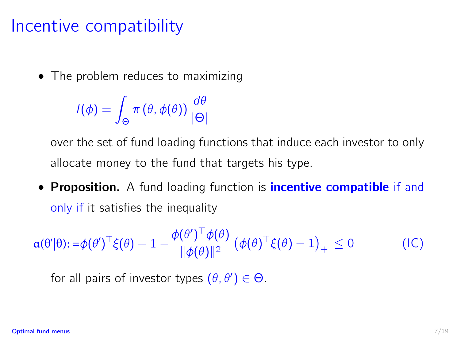# Incentive compatibility

• The problem reduces to maximizing

 $I(\phi) =$ Θ  $\pi(\theta,\phi(\theta))\frac{d\theta}{d\theta}$ |Θ|

over the set of fund loading functions that induce each investor to only allocate money to the fund that targets his type.

• Proposition. A fund loading function is *incentive compatible* if and only if it satisfies the inequality

 $\alpha(\theta'|\theta)$ :  $=\phi(\theta')^{\top} \xi(\theta) - 1 - \frac{\phi(\theta')^{\top} \phi(\theta)}{\|\phi(\theta)\|^2}$  $\frac{\partial}{\partial \phi(\theta)} \left( \phi(\theta)^{\top} \xi(\theta) - 1 \right)_+ \leq 0$  (IC)

<span id="page-6-0"></span>for all pairs of investor types  $(\theta, \theta') \in \Theta$ .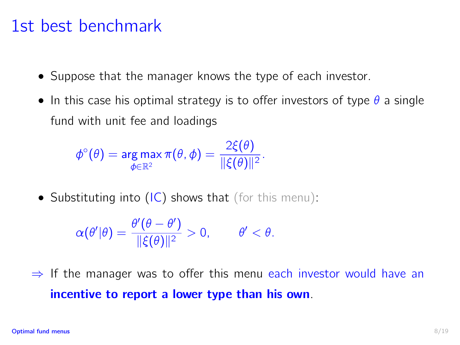#### 1st best benchmark

- Suppose that the manager knows the type of each investor.
- In this case his optimal strategy is to offer investors of type  $\theta$  a single fund with unit fee and loadings

$$
\phi^{\circ}(\theta) = \argmax_{\phi \in \mathbb{R}^2} \pi(\theta, \phi) = \frac{2\xi(\theta)}{\|\xi(\theta)\|^2}.
$$

• Substituting into  $(IC)$  shows that (for this menu):

$$
\alpha(\theta'|\theta) = \frac{\theta'(\theta - \theta')}{\|\xi(\theta)\|^2} > 0, \qquad \theta' < \theta.
$$

 $\Rightarrow$  If the manager was to offer this menu each investor would have an incentive to report a lower type than his own.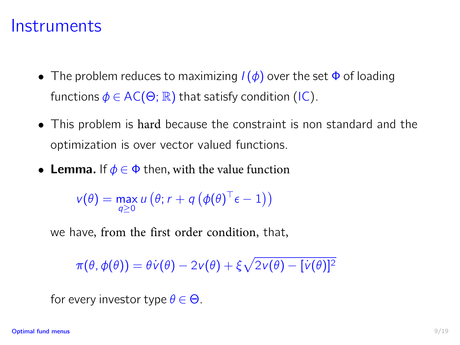#### **Instruments**

- The problem reduces to maximizing  $I(\phi)$  over the set  $\Phi$  of loading functions  $\phi \in AC(\Theta; \mathbb{R})$  that satisfy condition [\(IC\)](#page-6-0).
- This problem is hard because the constraint is non standard and the optimization is over vector valued functions.
- Lemma. If  $\phi \in \Phi$  then, with the value function

 $v(\theta) = \max_{q \geq 0} u(\theta; r + q(\phi(\theta)^{\top} \epsilon - 1))$ 

we have, from the first order condition, that,

 $\pi(\theta, \phi(\theta)) = \theta \dot{v}(\theta) - 2v(\theta) + \xi \sqrt{2v(\theta) - [\dot{v}(\theta)]^2}$ 

for every investor type  $\theta \in \Theta$ .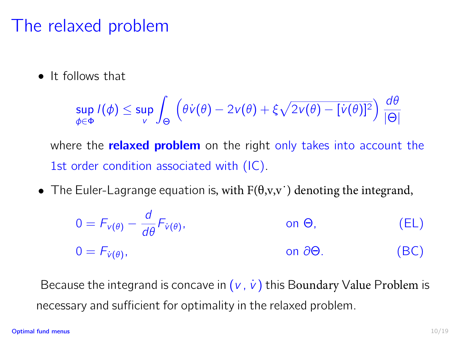# The relaxed problem

**•** It follows that

$$
\sup_{\phi \in \Phi} I(\phi) \leq \sup_{V} \int_{\Theta} \left( \theta \dot{v}(\theta) - 2v(\theta) + \xi \sqrt{2v(\theta) - [\dot{v}(\theta)]^2} \right) \frac{d\theta}{|\Theta|}
$$

where the **relaxed problem** on the right only takes into account the 1st order condition associated with [\(IC\)](#page-6-0).

• The Euler-Lagrange equation is, with  $F(\theta, v, v')$  denoting the integrand,

$$
0 = F_{v(\theta)} - \frac{d}{d\theta} F_{\dot{v}(\theta)}, \qquad \text{on } \Theta,
$$
 (EL)  
 
$$
0 = F_{\dot{v}(\theta)}, \qquad \text{on } \partial\Theta.
$$
 (BC)

Because the integrand is concave in  $(v, \dot{v})$  this Boundary Value Problem is necessary and sufficient for optimality in the relaxed problem.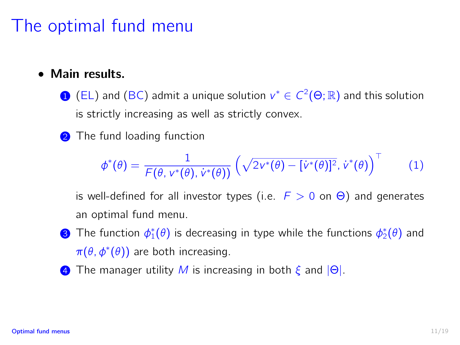# The optimal fund menu

#### • Main results.

- 1 (EL) and (BC) admit a unique solution  $v^* \in C^2(\Theta;\mathbb{R})$  and this solution is strictly increasing as well as strictly convex.
- 2 The fund loading function

$$
\phi^*(\theta) = \frac{1}{\mathcal{F}(\theta, v^*(\theta), \dot{v}^*(\theta))} \left(\sqrt{2v^*(\theta) - [\dot{v}^*(\theta)]^2}, \dot{v}^*(\theta)\right)^\top \qquad (1)
$$

is well-defined for all investor types (i.e.  $F > 0$  on  $\Theta$ ) and generates an optimal fund menu.

- **3** The function  $\phi_1^*(\theta)$  is decreasing in type while the functions  $\phi_2^*(\theta)$  and  $\pi(\theta, \phi^*(\theta))$  are both increasing.
- **4** The manager utility M is increasing in both  $\xi$  and  $|\Theta|$ .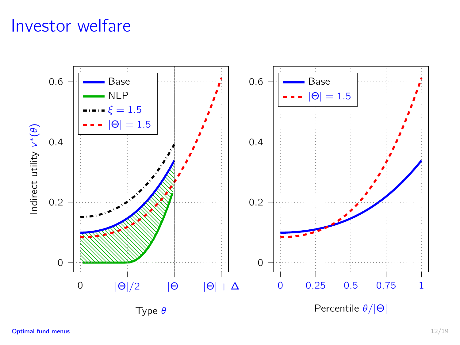# Investor welfare

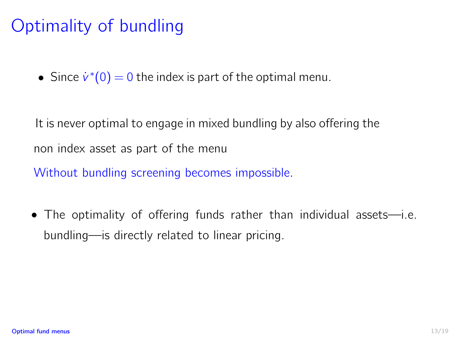# Optimality of bundling

• Since  $\dot{v}^*(0) = 0$  the index is part of the optimal menu.

It is never optimal to engage in mixed bundling by also offering the non index asset as part of the menu

Without bundling screening becomes impossible.

• The optimality of offering funds rather than individual assets—i.e. bundling—is directly related to linear pricing.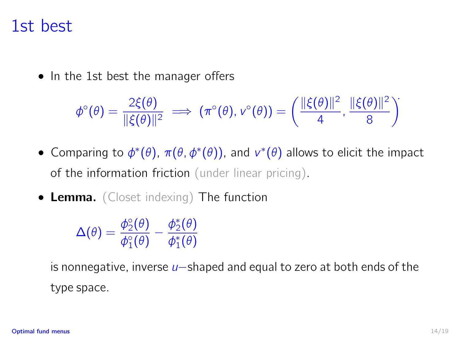#### 1st best

• In the 1st best the manager offers

$$
\phi^{\circ}(\theta) = \frac{2\xi(\theta)}{\|\xi(\theta)\|^2} \implies (\pi^{\circ}(\theta), v^{\circ}(\theta)) = \left(\frac{\|\xi(\theta)\|^2}{4}, \frac{\|\xi(\theta)\|^2}{8}\right)
$$

- Comparing to  $\phi^*(\theta)$ ,  $\pi(\theta, \phi^*(\theta))$ , and  $v^*(\theta)$  allows to elicit the impact of the information friction (under linear pricing).
- Lemma. (Closet indexing) The function

$$
\Delta(\theta)=\frac{\phi_2^\circ(\theta)}{\phi_1^\circ(\theta)}-\frac{\phi_2^*(\theta)}{\phi_1^*(\theta)}
$$

is nonnegative, inverse u−shaped and equal to zero at both ends of the type space.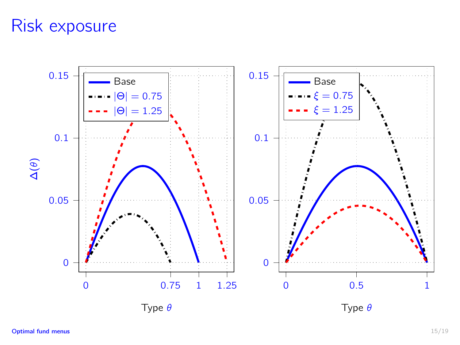# Risk exposure

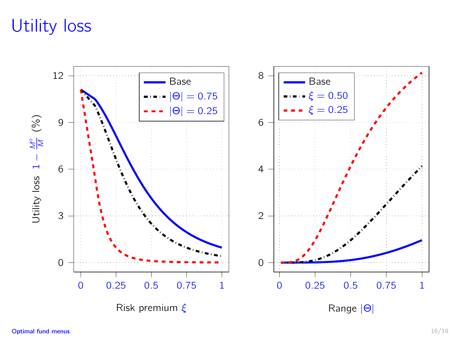# Utility loss

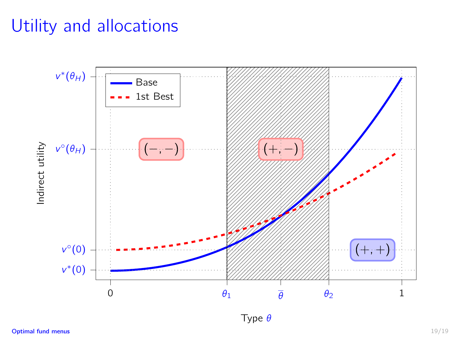# Utility and allocations



Type θ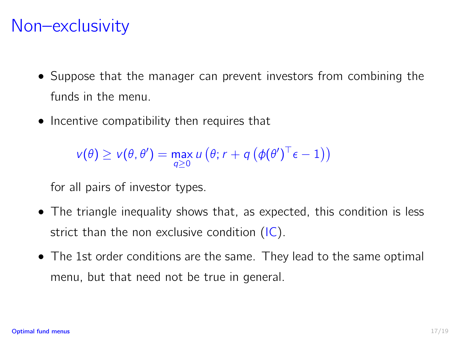# Non–exclusivity

- Suppose that the manager can prevent investors from combining the funds in the menu.
- Incentive compatibility then requires that

 $v(\theta) \ge v(\theta, \theta') = \max_{q \ge 0} u(q; r + q(q(\theta(\theta'))^{\top} \epsilon - 1))$ 

for all pairs of investor types.

- The triangle inequality shows that, as expected, this condition is less strict than the non exclusive condition [\(IC\)](#page-6-0).
- The 1st order conditions are the same. They lead to the same optimal menu, but that need not be true in general.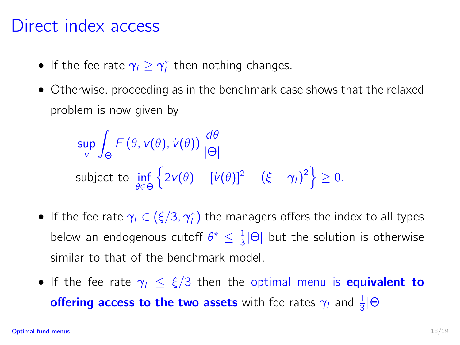### Direct index access

- If the fee rate  $\gamma_l \geq \gamma_l^*$  then nothing changes.
- Otherwise, proceeding as in the benchmark case shows that the relaxed problem is now given by

sup v Z Θ  $F(\theta, v(\theta), \dot{v}(\theta)) \frac{d\theta}{d\Theta}$ |Θ| subject to inf θ∈Θ  $\left\{2v(\theta)-[\dot{v}(\theta)]^2-(\xi-\gamma_i)^2\right\}\geq 0.$ 

- If the fee rate  $\gamma_l \in (\xi/3, \gamma_l^*)$  the managers offers the index to all types below an endogenous cutoff  $\theta^* \leq \frac{1}{3}|\Theta|$  but the solution is otherwise similar to that of the benchmark model.
- If the fee rate  $\gamma_1 \leq \xi/3$  then the optimal menu is **equivalent to offering access to the two assets** with fee rates  $\gamma_I$  and  $\frac{1}{3}|\Theta|$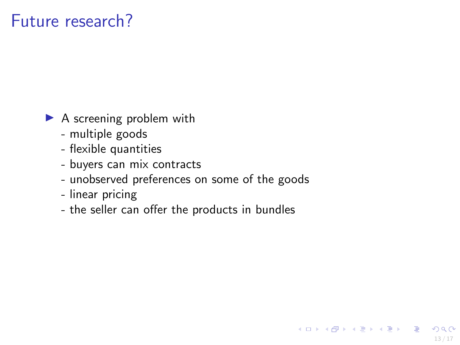# Future research?

- $\blacktriangleright$  A screening problem with
	- multiple goods
	- flexible quantities
	- buyers can mix contracts
	- unobserved preferences on some of the goods

13 / 17

イロメ イ団メ イヨメ イヨメーヨ

- linear pricing
- the seller can offer the products in bundles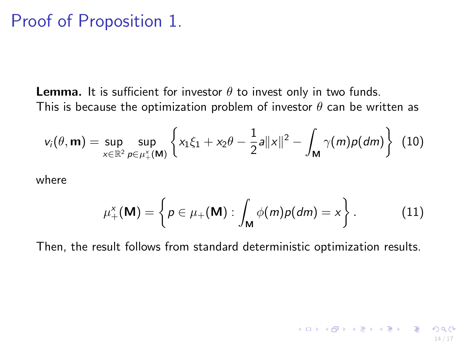#### Proof of Proposition 1.

**Lemma.** It is sufficient for investor  $\theta$  to invest only in two funds. This is because the optimization problem of investor  $\theta$  can be written as

$$
v_i(\theta, \mathbf{m}) = \sup_{x \in \mathbb{R}^2} \sup_{p \in \mu^x_+(\mathbf{M})} \left\{ x_1 \xi_1 + x_2 \theta - \frac{1}{2} a ||x||^2 - \int_{\mathbf{M}} \gamma(m) p(dm) \right\} (10)
$$

where

$$
\mu^{\mathsf{x}}_{+}(\mathbf{M}) = \left\{ p \in \mu_{+}(\mathbf{M}) : \int_{\mathbf{M}} \phi(m) p(dm) = x \right\}.
$$
 (11)

Then, the result follows from standard deterministic optimization results.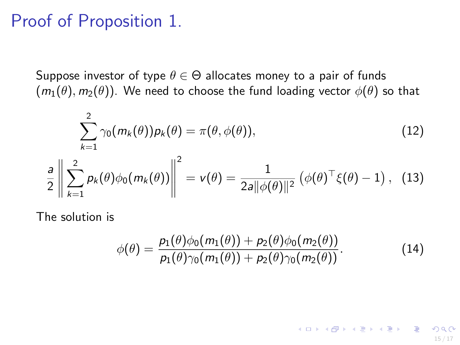#### Proof of Proposition 1.

Suppose investor of type  $\theta \in \Theta$  allocates money to a pair of funds  $(m_1(\theta), m_2(\theta))$ . We need to choose the fund loading vector  $\phi(\theta)$  so that

$$
\sum_{k=1}^{2} \gamma_0(m_k(\theta)) \rho_k(\theta) = \pi(\theta, \phi(\theta)), \qquad (12)
$$
\n
$$
\frac{a}{2} \left\| \sum_{k=1}^{2} \rho_k(\theta) \phi_0(m_k(\theta)) \right\|^2 = v(\theta) = \frac{1}{2a \|\phi(\theta)\|^2} \left( \phi(\theta)^\top \xi(\theta) - 1 \right), \quad (13)
$$

The solution is

$$
\phi(\theta) = \frac{p_1(\theta)\phi_0(m_1(\theta)) + p_2(\theta)\phi_0(m_2(\theta))}{p_1(\theta)\gamma_0(m_1(\theta)) + p_2(\theta)\gamma_0(m_2(\theta))}.
$$
\n(14)

15 / 17

KID KA KE KA E KA E KO KO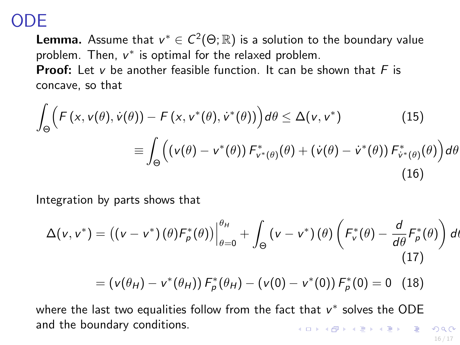# ODE

**Lemma.** Assume that  $v^* \in C^2(\Theta; \mathbb{R})$  is a solution to the boundary value problem. Then,  $v^*$  is optimal for the relaxed problem. **Proof:** Let v be another feasible function. It can be shown that  $F$  is concave, so that

$$
\int_{\Theta} \left( F(x, v(\theta), \dot{v}(\theta)) - F(x, v^*(\theta), \dot{v}^*(\theta)) \right) d\theta \le \Delta(v, v^*)
$$
\n
$$
\equiv \int_{\Theta} \left( (v(\theta) - v^*(\theta)) F_{v^*(\theta)}^*(\theta) + (\dot{v}(\theta) - \dot{v}^*(\theta)) F_{\dot{v}^*(\theta)}^*(\theta) \right) d\theta
$$
\n(16)

Integration by parts shows that

$$
\Delta(v, v^*) = ((v - v^*)(\theta)F^*_{\rho}(\theta))\Big|_{\theta=0}^{\theta_H} + \int_{\Theta} (v - v^*)(\theta) \left(F^*_{v}(\theta) - \frac{d}{d\theta}F^*_{\rho}(\theta)\right) dt
$$
\n(17)

$$
= (v(\theta_H) - v^*(\theta_H)) F^*_{\rho}(\theta_H) - (v(0) - v^*(0)) F^*_{\rho}(0) = 0 \quad (18)
$$

where the last two equalities follow from the fact that  $v^*$  solves the ODE and the boundary conditions. **K ロ ▶ K 御 ▶ K 重 ▶ K 重 ▶ 一重** 

16 / 17